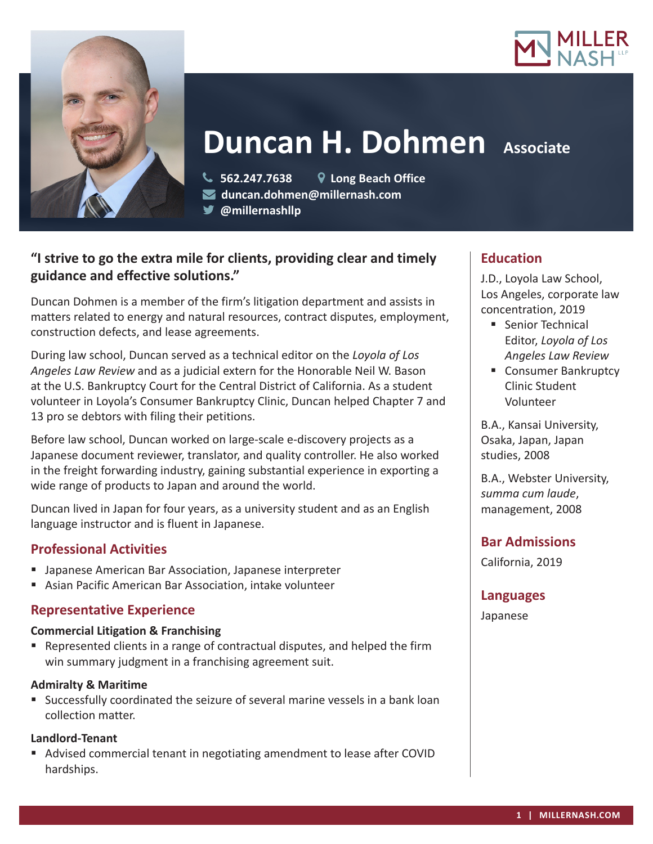



# **Duncan H. Dohmen** Associate

 **562.247.7638 Long Beach Office duncan.dohmen@millernash.com** 

**@millernashllp** 

# **"I strive to go the extra mile for clients, providing clear and timely guidance and effective solutions."**

Duncan Dohmen is a member of the firm's litigation department and assists in matters related to energy and natural resources, contract disputes, employment, construction defects, and lease agreements.

During law school, Duncan served as a technical editor on the *Loyola of Los Angeles Law Review* and as a judicial extern for the Honorable Neil W. Bason at the U.S. Bankruptcy Court for the Central District of California. As a student volunteer in Loyola's Consumer Bankruptcy Clinic, Duncan helped Chapter 7 and 13 pro se debtors with filing their petitions.

Before law school, Duncan worked on large-scale e-discovery projects as a Japanese document reviewer, translator, and quality controller. He also worked in the freight forwarding industry, gaining substantial experience in exporting a wide range of products to Japan and around the world.

Duncan lived in Japan for four years, as a university student and as an English language instructor and is fluent in Japanese.

# **Professional Activities**

- Japanese American Bar Association, Japanese interpreter
- Asian Pacific American Bar Association, intake volunteer

## **Representative Experience**

#### **Commercial Litigation & Franchising**

 Represented clients in a range of contractual disputes, and helped the firm win summary judgment in a franchising agreement suit.

#### **Admiralty & Maritime**

 Successfully coordinated the seizure of several marine vessels in a bank loan collection matter.

## **Landlord-Tenant**

 Advised commercial tenant in negotiating amendment to lease after COVID hardships.

## **Education**

J.D., Loyola Law School, Los Angeles, corporate law concentration, 2019

- **Senior Technical** Editor, *Loyola of Los Angeles Law Review*
- Consumer Bankruptcy Clinic Student Volunteer

B.A., Kansai University, Osaka, Japan, Japan studies, 2008

B.A., Webster University, *summa cum laude*, management, 2008

## **Bar Admissions**

California, 2019

## **Languages**

Japanese